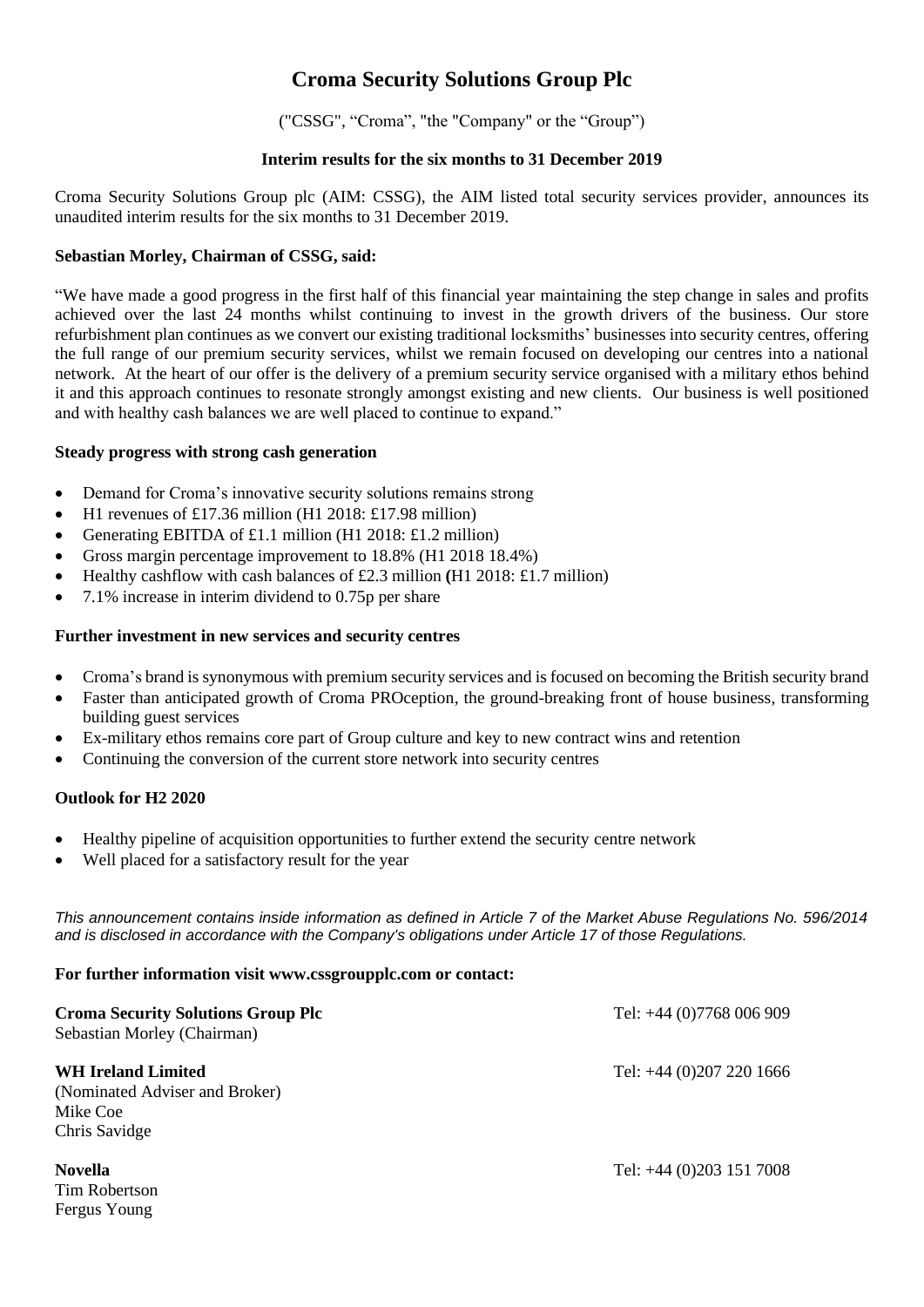# **Croma Security Solutions Group Plc**

("CSSG", "Croma", "the "Company" or the "Group")

## **Interim results for the six months to 31 December 2019**

Croma Security Solutions Group plc (AIM: CSSG), the AIM listed total security services provider, announces its unaudited interim results for the six months to 31 December 2019.

## **Sebastian Morley, Chairman of CSSG, said:**

"We have made a good progress in the first half of this financial year maintaining the step change in sales and profits achieved over the last 24 months whilst continuing to invest in the growth drivers of the business. Our store refurbishment plan continues as we convert our existing traditional locksmiths' businesses into security centres, offering the full range of our premium security services, whilst we remain focused on developing our centres into a national network. At the heart of our offer is the delivery of a premium security service organised with a military ethos behind it and this approach continues to resonate strongly amongst existing and new clients. Our business is well positioned and with healthy cash balances we are well placed to continue to expand."

#### **Steady progress with strong cash generation**

- Demand for Croma's innovative security solutions remains strong
- $H1$  revenues of £17.36 million (H1 2018: £17.98 million)
- Generating EBITDA of £1.1 million (H1 2018: £1.2 million)
- Gross margin percentage improvement to 18.8% (H1 2018 18.4%)
- Healthy cashflow with cash balances of £2.3 million **(**H1 2018: £1.7 million)
- 7.1% increase in interim dividend to 0.75p per share

#### **Further investment in new services and security centres**

- Croma's brand is synonymous with premium security services and is focused on becoming the British security brand
- Faster than anticipated growth of Croma PROception, the ground-breaking front of house business, transforming building guest services
- Ex-military ethos remains core part of Group culture and key to new contract wins and retention
- Continuing the conversion of the current store network into security centres

# **Outlook for H2 2020**

- Healthy pipeline of acquisition opportunities to further extend the security centre network
- Well placed for a satisfactory result for the year

*This announcement contains inside information as defined in Article 7 of the Market Abuse Regulations No. 596/2014 and is disclosed in accordance with the Company's obligations under Article 17 of those Regulations.*

#### **For further information visit www.cssgroupplc.com or contact:**

| <b>Croma Security Solutions Group Plc</b><br>Sebastian Morley (Chairman)          | Tel: $+44$ (0)7768 006 909 |
|-----------------------------------------------------------------------------------|----------------------------|
| WH Ireland Limited<br>(Nominated Adviser and Broker)<br>Mike Coe<br>Chris Savidge | Tel: $+44$ (0)207 220 1666 |
| <b>Novella</b><br>Tim Dobortson                                                   | Tel: $+44$ (0)203 151 7008 |

Tim Robertson Fergus Young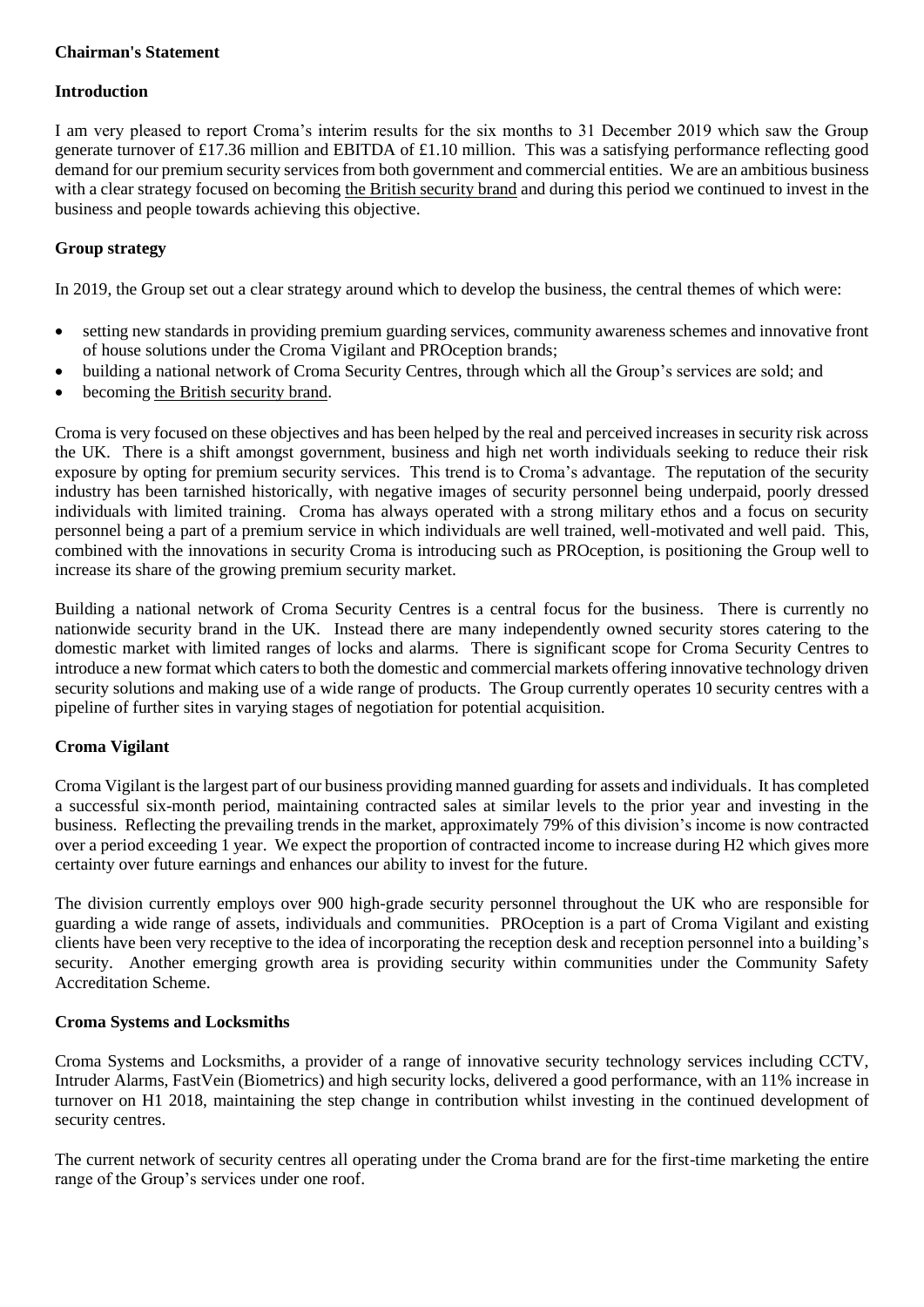# **Chairman's Statement**

#### **Introduction**

I am very pleased to report Croma's interim results for the six months to 31 December 2019 which saw the Group generate turnover of £17.36 million and EBITDA of £1.10 million. This was a satisfying performance reflecting good demand for our premium security services from both government and commercial entities. We are an ambitious business with a clear strategy focused on becoming the British security brand and during this period we continued to invest in the business and people towards achieving this objective.

## **Group strategy**

In 2019, the Group set out a clear strategy around which to develop the business, the central themes of which were:

- setting new standards in providing premium guarding services, community awareness schemes and innovative front of house solutions under the Croma Vigilant and PROception brands;
- building a national network of Croma Security Centres, through which all the Group's services are sold; and
- becoming the British security brand.

Croma is very focused on these objectives and has been helped by the real and perceived increases in security risk across the UK. There is a shift amongst government, business and high net worth individuals seeking to reduce their risk exposure by opting for premium security services. This trend is to Croma's advantage. The reputation of the security industry has been tarnished historically, with negative images of security personnel being underpaid, poorly dressed individuals with limited training. Croma has always operated with a strong military ethos and a focus on security personnel being a part of a premium service in which individuals are well trained, well-motivated and well paid. This, combined with the innovations in security Croma is introducing such as PROception, is positioning the Group well to increase its share of the growing premium security market.

Building a national network of Croma Security Centres is a central focus for the business. There is currently no nationwide security brand in the UK. Instead there are many independently owned security stores catering to the domestic market with limited ranges of locks and alarms. There is significant scope for Croma Security Centres to introduce a new format which caters to both the domestic and commercial markets offering innovative technology driven security solutions and making use of a wide range of products. The Group currently operates 10 security centres with a pipeline of further sites in varying stages of negotiation for potential acquisition.

# **Croma Vigilant**

Croma Vigilant is the largest part of our business providing manned guarding for assets and individuals. It has completed a successful six-month period, maintaining contracted sales at similar levels to the prior year and investing in the business. Reflecting the prevailing trends in the market, approximately 79% of this division's income is now contracted over a period exceeding 1 year. We expect the proportion of contracted income to increase during H2 which gives more certainty over future earnings and enhances our ability to invest for the future.

The division currently employs over 900 high-grade security personnel throughout the UK who are responsible for guarding a wide range of assets, individuals and communities. PROception is a part of Croma Vigilant and existing clients have been very receptive to the idea of incorporating the reception desk and reception personnel into a building's security. Another emerging growth area is providing security within communities under the Community Safety Accreditation Scheme.

#### **Croma Systems and Locksmiths**

Croma Systems and Locksmiths, a provider of a range of innovative security technology services including CCTV, Intruder Alarms, FastVein (Biometrics) and high security locks, delivered a good performance, with an 11% increase in turnover on H1 2018, maintaining the step change in contribution whilst investing in the continued development of security centres.

The current network of security centres all operating under the Croma brand are for the first-time marketing the entire range of the Group's services under one roof.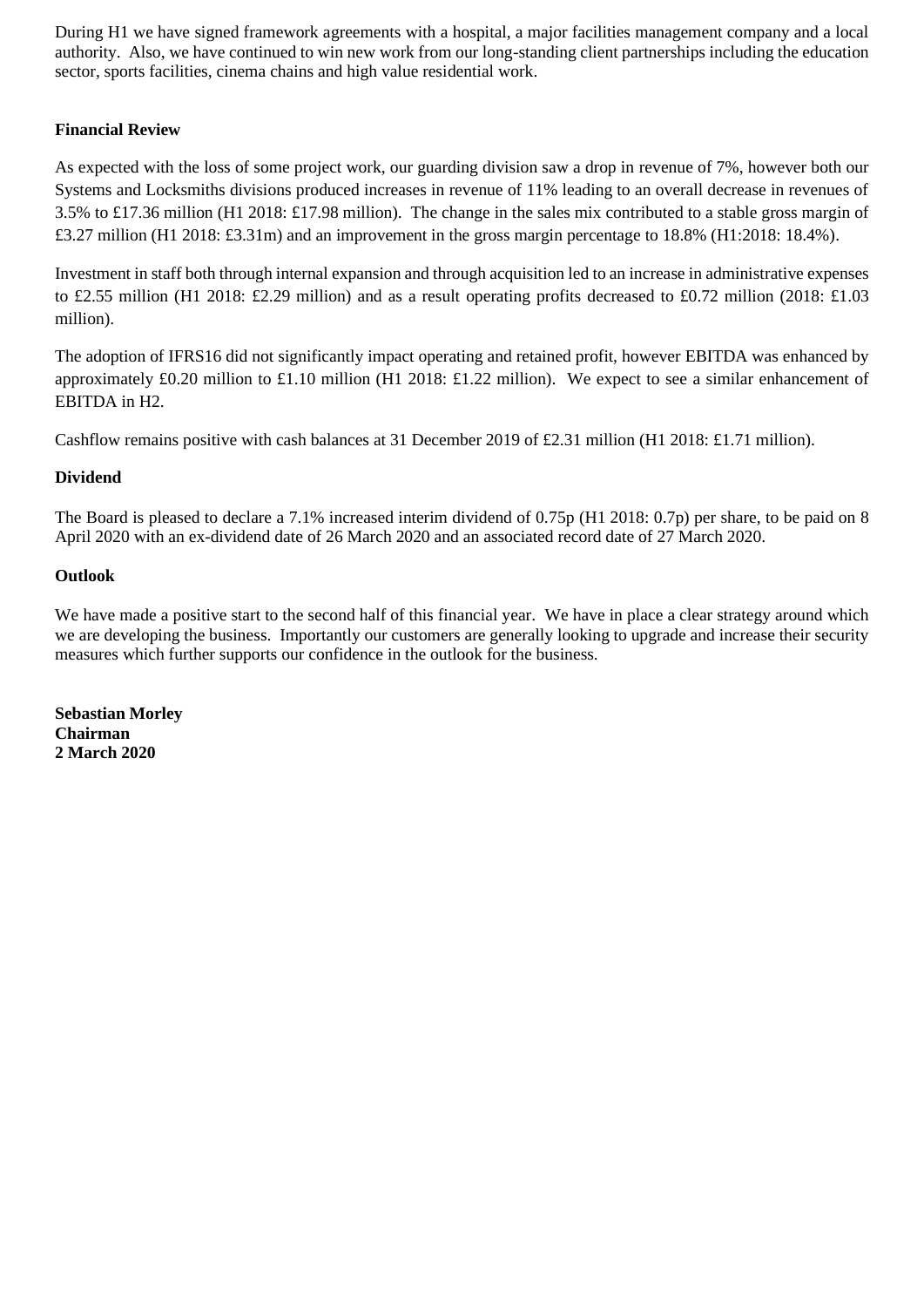During H1 we have signed framework agreements with a hospital, a major facilities management company and a local authority. Also, we have continued to win new work from our long-standing client partnerships including the education sector, sports facilities, cinema chains and high value residential work.

# **Financial Review**

As expected with the loss of some project work, our guarding division saw a drop in revenue of 7%, however both our Systems and Locksmiths divisions produced increases in revenue of 11% leading to an overall decrease in revenues of 3.5% to £17.36 million (H1 2018: £17.98 million). The change in the sales mix contributed to a stable gross margin of £3.27 million (H1 2018: £3.31m) and an improvement in the gross margin percentage to 18.8% (H1:2018: 18.4%).

Investment in staff both through internal expansion and through acquisition led to an increase in administrative expenses to £2.55 million (H1 2018: £2.29 million) and as a result operating profits decreased to £0.72 million (2018: £1.03 million).

The adoption of IFRS16 did not significantly impact operating and retained profit, however EBITDA was enhanced by approximately £0.20 million to £1.10 million (H1 2018: £1.22 million). We expect to see a similar enhancement of EBITDA in H2.

Cashflow remains positive with cash balances at 31 December 2019 of £2.31 million (H1 2018: £1.71 million).

# **Dividend**

The Board is pleased to declare a 7.1% increased interim dividend of 0.75p (H1 2018: 0.7p) per share, to be paid on 8 April 2020 with an ex-dividend date of 26 March 2020 and an associated record date of 27 March 2020.

# **Outlook**

We have made a positive start to the second half of this financial year. We have in place a clear strategy around which we are developing the business. Importantly our customers are generally looking to upgrade and increase their security measures which further supports our confidence in the outlook for the business.

**Sebastian Morley Chairman 2 March 2020**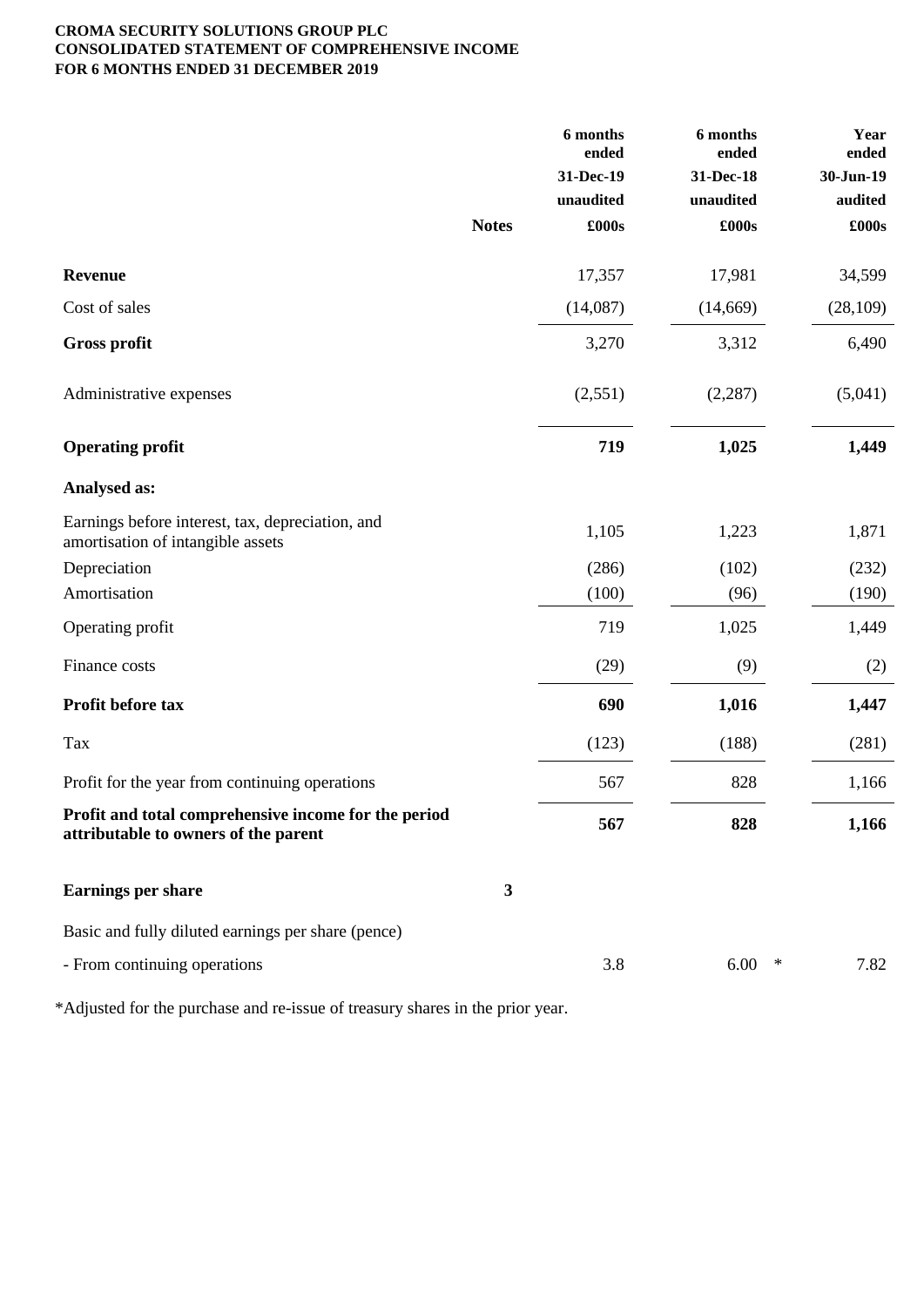# **CROMA SECURITY SOLUTIONS GROUP PLC CONSOLIDATED STATEMENT OF COMPREHENSIVE INCOME FOR 6 MONTHS ENDED 31 DECEMBER 2019**

|                                                                                              | 6 months<br>ended | 6 months<br>ended | Year<br>ended |
|----------------------------------------------------------------------------------------------|-------------------|-------------------|---------------|
|                                                                                              | 31-Dec-19         | 31-Dec-18         | 30-Jun-19     |
|                                                                                              | unaudited         | unaudited         | audited       |
| <b>Notes</b>                                                                                 | £000s             | £000s             | £000s         |
| Revenue                                                                                      | 17,357            | 17,981            | 34,599        |
| Cost of sales                                                                                | (14,087)          | (14, 669)         | (28, 109)     |
| <b>Gross profit</b>                                                                          | 3,270             | 3,312             | 6,490         |
| Administrative expenses                                                                      | (2,551)           | (2, 287)          | (5,041)       |
| <b>Operating profit</b>                                                                      | 719               | 1,025             | 1,449         |
| <b>Analysed as:</b>                                                                          |                   |                   |               |
| Earnings before interest, tax, depreciation, and<br>amortisation of intangible assets        | 1,105             | 1,223             | 1,871         |
| Depreciation                                                                                 | (286)             | (102)             | (232)         |
| Amortisation                                                                                 | (100)             | (96)              | (190)         |
| Operating profit                                                                             | 719               | 1,025             | 1,449         |
| Finance costs                                                                                | (29)              | (9)               | (2)           |
| Profit before tax                                                                            | 690               | 1,016             | 1,447         |
| Tax                                                                                          | (123)             | (188)             | (281)         |
| Profit for the year from continuing operations                                               | 567               | 828               | 1,166         |
| Profit and total comprehensive income for the period<br>attributable to owners of the parent | 567               | 828               | 1,166         |
| <b>Earnings per share</b>                                                                    | $\boldsymbol{3}$  |                   |               |
| Basic and fully diluted earnings per share (pence)                                           |                   |                   |               |
| - From continuing operations                                                                 | 3.8               | 6.00              | 7.82<br>∗     |

\*Adjusted for the purchase and re-issue of treasury shares in the prior year.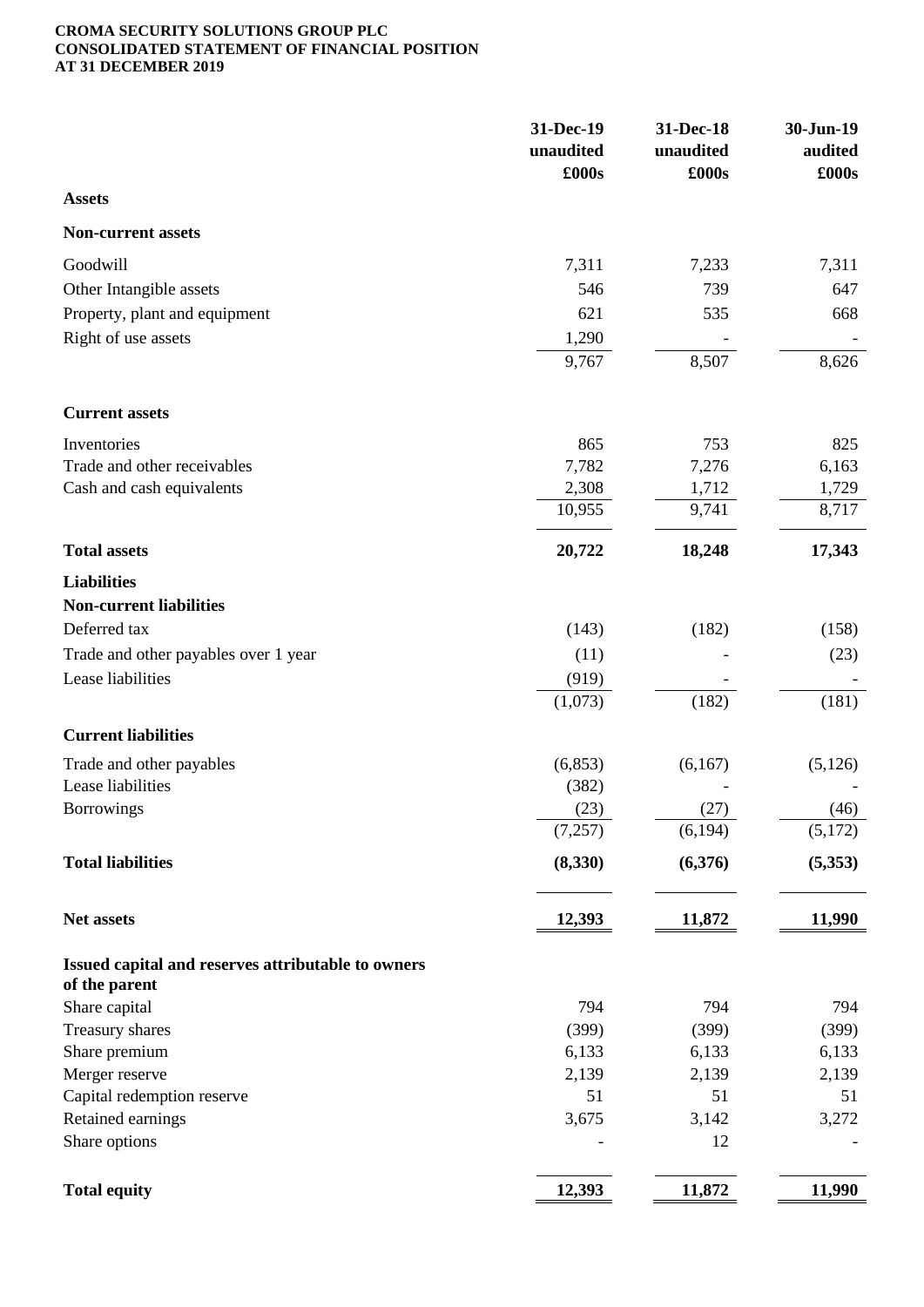#### **CROMA SECURITY SOLUTIONS GROUP PLC CONSOLIDATED STATEMENT OF FINANCIAL POSITION AT 31 DECEMBER 2019**

|                                                                     | 31-Dec-19<br>unaudited<br>£000s | 31-Dec-18<br>unaudited<br>£000s | 30-Jun-19<br>audited<br>£000s |
|---------------------------------------------------------------------|---------------------------------|---------------------------------|-------------------------------|
| <b>Assets</b>                                                       |                                 |                                 |                               |
| <b>Non-current assets</b>                                           |                                 |                                 |                               |
| Goodwill                                                            | 7,311                           | 7,233                           | 7,311                         |
| Other Intangible assets                                             | 546                             | 739                             | 647                           |
| Property, plant and equipment                                       | 621                             | 535                             | 668                           |
| Right of use assets                                                 | 1,290                           |                                 |                               |
|                                                                     | 9,767                           | 8,507                           | 8,626                         |
| <b>Current assets</b>                                               |                                 |                                 |                               |
| Inventories                                                         | 865                             | 753                             | 825                           |
| Trade and other receivables                                         | 7,782                           | 7,276                           | 6,163                         |
| Cash and cash equivalents                                           | 2,308                           | 1,712                           | 1,729                         |
|                                                                     | 10,955                          | 9,741                           | 8,717                         |
| <b>Total assets</b>                                                 | 20,722                          | 18,248                          | 17,343                        |
| <b>Liabilities</b>                                                  |                                 |                                 |                               |
| <b>Non-current liabilities</b>                                      |                                 |                                 |                               |
| Deferred tax                                                        | (143)                           | (182)                           | (158)                         |
| Trade and other payables over 1 year                                | (11)                            |                                 | (23)                          |
| Lease liabilities                                                   | (919)                           |                                 |                               |
|                                                                     | (1,073)                         | (182)                           | (181)                         |
| <b>Current liabilities</b>                                          |                                 |                                 |                               |
| Trade and other payables                                            | (6, 853)                        | (6,167)                         | (5,126)                       |
| Lease liabilities                                                   | (382)                           |                                 |                               |
| <b>Borrowings</b>                                                   | (23)                            | (27)                            | (46)                          |
|                                                                     | (7, 257)                        | (6, 194)                        | (5,172)                       |
| <b>Total liabilities</b>                                            | (8, 330)                        | (6,376)                         | (5,353)                       |
| Net assets                                                          | <u>12,393</u>                   | 11,872                          | 11,990                        |
|                                                                     |                                 |                                 |                               |
| Issued capital and reserves attributable to owners<br>of the parent |                                 |                                 |                               |
| Share capital                                                       | 794                             | 794                             | 794                           |
| Treasury shares                                                     | (399)                           | (399)                           | (399)                         |
| Share premium                                                       | 6,133                           | 6,133                           | 6,133                         |
| Merger reserve                                                      | 2,139                           | 2,139                           | 2,139                         |
| Capital redemption reserve                                          | 51                              | 51                              | 51                            |
| Retained earnings                                                   | 3,675                           | 3,142                           | 3,272                         |
| Share options                                                       |                                 | 12                              |                               |
| <b>Total equity</b>                                                 | 12,393                          | 11,872                          | 11,990                        |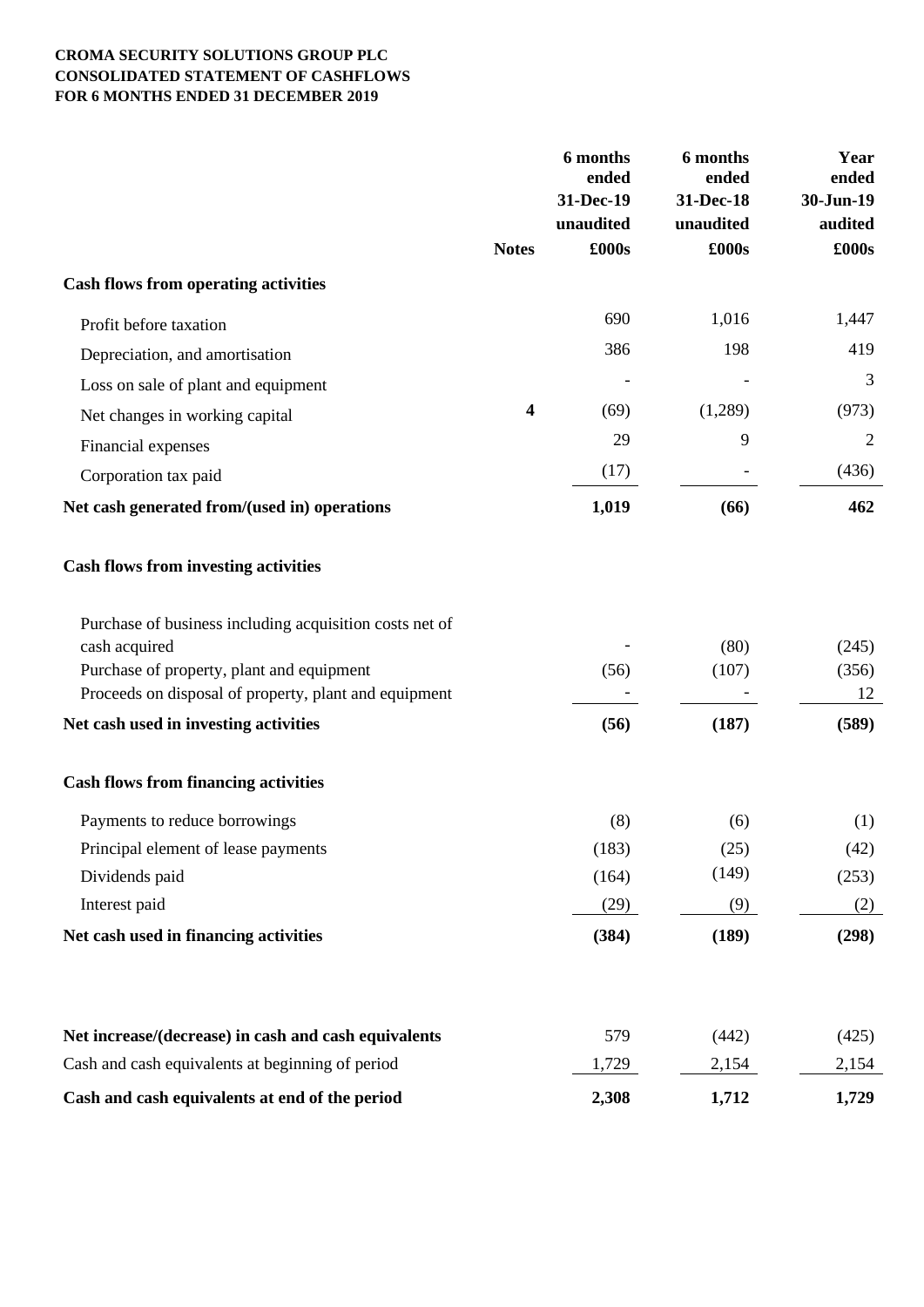# **CROMA SECURITY SOLUTIONS GROUP PLC CONSOLIDATED STATEMENT OF CASHFLOWS FOR 6 MONTHS ENDED 31 DECEMBER 2019**

|                                                                                                    | 6 months<br>ended       |           | 6 months<br>ended | Year<br>ended |  |
|----------------------------------------------------------------------------------------------------|-------------------------|-----------|-------------------|---------------|--|
|                                                                                                    |                         | 31-Dec-19 | 31-Dec-18         | 30-Jun-19     |  |
|                                                                                                    |                         | unaudited | unaudited         | audited       |  |
|                                                                                                    | <b>Notes</b>            | £000s     | £000s             | £000s         |  |
| <b>Cash flows from operating activities</b>                                                        |                         |           |                   |               |  |
| Profit before taxation                                                                             |                         | 690       | 1,016             | 1,447         |  |
| Depreciation, and amortisation                                                                     |                         | 386       | 198               | 419           |  |
| Loss on sale of plant and equipment                                                                |                         |           |                   | 3             |  |
| Net changes in working capital                                                                     | $\overline{\mathbf{4}}$ | (69)      | (1,289)           | (973)         |  |
| Financial expenses                                                                                 |                         | 29        | 9                 | 2             |  |
| Corporation tax paid                                                                               |                         | (17)      |                   | (436)         |  |
| Net cash generated from/(used in) operations                                                       |                         | 1,019     | (66)              | 462           |  |
| <b>Cash flows from investing activities</b>                                                        |                         |           |                   |               |  |
| Purchase of business including acquisition costs net of                                            |                         |           |                   |               |  |
| cash acquired                                                                                      |                         |           | (80)              | (245)         |  |
| Purchase of property, plant and equipment<br>Proceeds on disposal of property, plant and equipment |                         | (56)      | (107)             | (356)<br>12   |  |
| Net cash used in investing activities                                                              |                         | (56)      | (187)             | (589)         |  |
|                                                                                                    |                         |           |                   |               |  |
| <b>Cash flows from financing activities</b>                                                        |                         |           |                   |               |  |
| Payments to reduce borrowings                                                                      |                         | (8)       | (6)               | (1)           |  |
| Principal element of lease payments                                                                |                         | (183)     | (25)              | (42)          |  |
| Dividends paid                                                                                     |                         | (164)     | (149)             | (253)         |  |
| Interest paid                                                                                      |                         | (29)      | (9)               | (2)           |  |
| Net cash used in financing activities                                                              |                         | (384)     | (189)             | (298)         |  |
|                                                                                                    |                         |           |                   |               |  |
| Net increase/(decrease) in cash and cash equivalents                                               |                         | 579       | (442)             | (425)         |  |
| Cash and cash equivalents at beginning of period                                                   |                         | 1,729     | 2,154             | 2,154         |  |
| Cash and cash equivalents at end of the period                                                     |                         | 2,308     | 1,712             | 1,729         |  |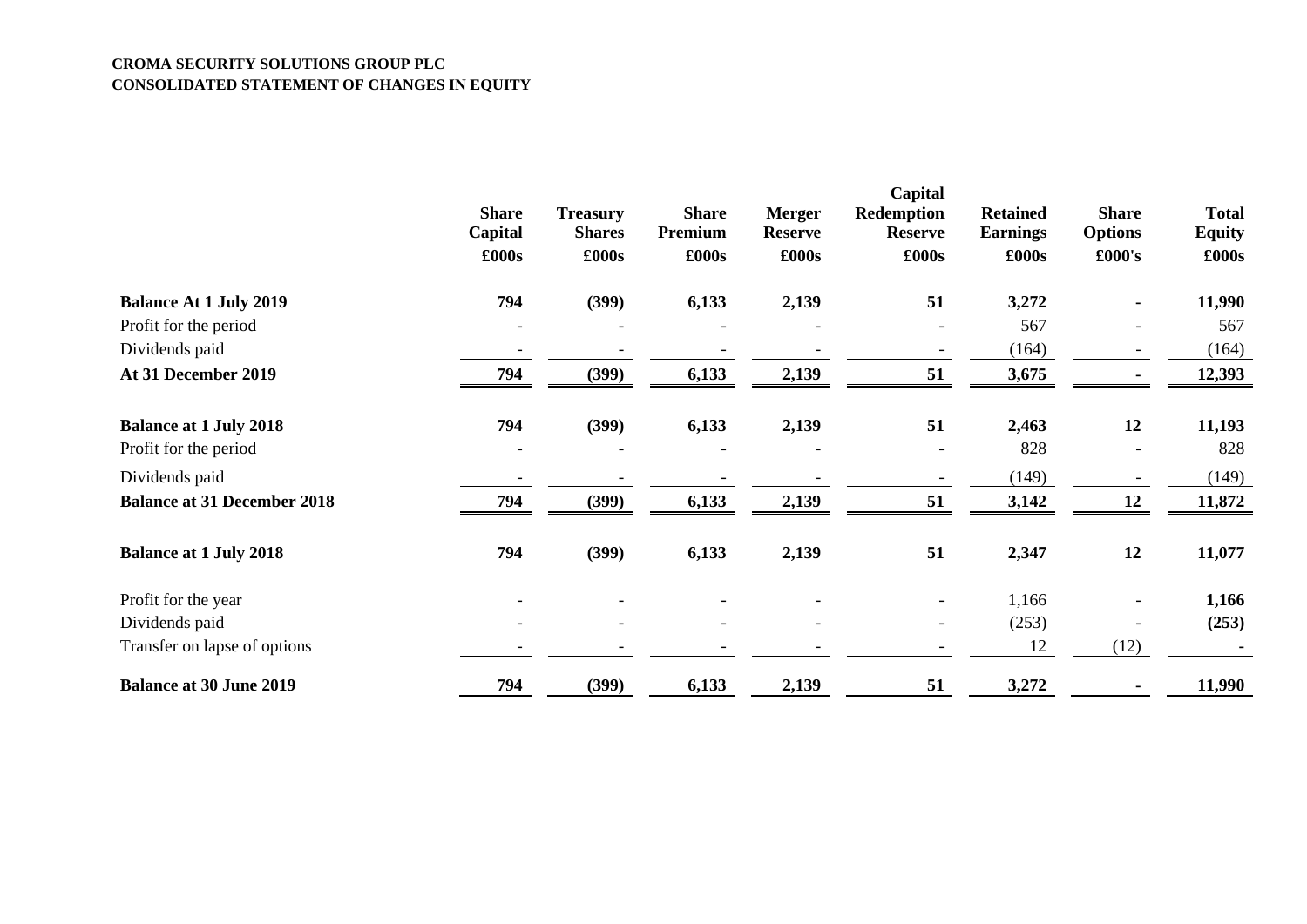#### **CROMA SECURITY SOLUTIONS GROUP PLC CONSOLIDATED STATEMENT OF CHANGES IN EQUITY**

|                                    | <b>Share</b><br>Capital<br>£000s | <b>Treasury</b><br><b>Shares</b><br>£000s | <b>Share</b><br>Premium<br>£000s | <b>Merger</b><br><b>Reserve</b><br>£000s | Capital<br><b>Redemption</b><br><b>Reserve</b><br>£000s | <b>Retained</b><br><b>Earnings</b><br>£000s | <b>Share</b><br><b>Options</b><br>£000's | <b>Total</b><br><b>Equity</b><br>£000s |
|------------------------------------|----------------------------------|-------------------------------------------|----------------------------------|------------------------------------------|---------------------------------------------------------|---------------------------------------------|------------------------------------------|----------------------------------------|
| <b>Balance At 1 July 2019</b>      | 794                              | (399)                                     | 6,133                            | 2,139                                    | 51                                                      | 3,272                                       |                                          | 11,990                                 |
| Profit for the period              |                                  |                                           |                                  |                                          | $\overline{\phantom{a}}$                                | 567                                         | $\overline{\phantom{0}}$                 | 567                                    |
| Dividends paid                     |                                  |                                           |                                  |                                          |                                                         | (164)                                       |                                          | (164)                                  |
| At 31 December 2019                | 794                              | (399)                                     | 6,133                            | 2,139                                    | 51                                                      | 3,675                                       |                                          | 12,393                                 |
| <b>Balance at 1 July 2018</b>      | 794                              | (399)                                     | 6,133                            | 2,139                                    | 51                                                      | 2,463                                       | 12                                       | 11,193                                 |
| Profit for the period              |                                  |                                           |                                  |                                          | $\overline{\phantom{a}}$                                | 828                                         | $\blacksquare$                           | 828                                    |
| Dividends paid                     |                                  |                                           |                                  |                                          | $\overline{\phantom{a}}$                                | (149)                                       |                                          | (149)                                  |
| <b>Balance at 31 December 2018</b> | 794                              | (399)                                     | 6,133                            | 2,139                                    | 51                                                      | 3,142                                       | 12                                       | 11,872                                 |
| <b>Balance at 1 July 2018</b>      | 794                              | (399)                                     | 6,133                            | 2,139                                    | 51                                                      | 2,347                                       | 12                                       | 11,077                                 |
| Profit for the year                |                                  |                                           |                                  |                                          | $\overline{\phantom{a}}$                                | 1,166                                       |                                          | 1,166                                  |
| Dividends paid                     |                                  |                                           |                                  |                                          |                                                         | (253)                                       |                                          | (253)                                  |
| Transfer on lapse of options       |                                  |                                           |                                  |                                          |                                                         | 12                                          | (12)                                     |                                        |
| <b>Balance at 30 June 2019</b>     | 794                              | (399)                                     | 6,133                            | 2,139                                    | 51                                                      | 3,272                                       |                                          | 11,990                                 |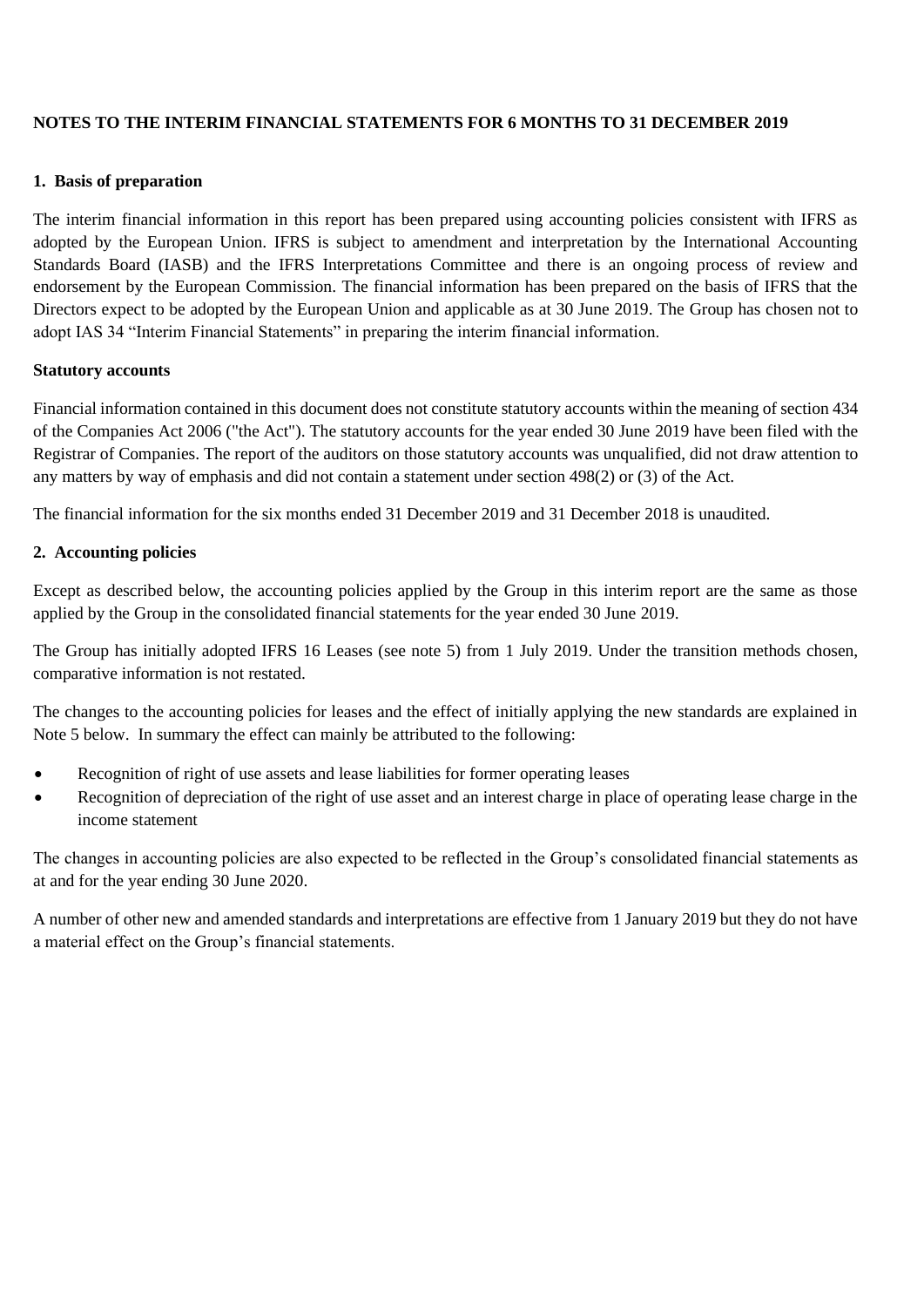# **NOTES TO THE INTERIM FINANCIAL STATEMENTS FOR 6 MONTHS TO 31 DECEMBER 2019**

#### **1. Basis of preparation**

The interim financial information in this report has been prepared using accounting policies consistent with IFRS as adopted by the European Union. IFRS is subject to amendment and interpretation by the International Accounting Standards Board (IASB) and the IFRS Interpretations Committee and there is an ongoing process of review and endorsement by the European Commission. The financial information has been prepared on the basis of IFRS that the Directors expect to be adopted by the European Union and applicable as at 30 June 2019. The Group has chosen not to adopt IAS 34 "Interim Financial Statements" in preparing the interim financial information.

#### **Statutory accounts**

Financial information contained in this document does not constitute statutory accounts within the meaning of section 434 of the Companies Act 2006 ("the Act"). The statutory accounts for the year ended 30 June 2019 have been filed with the Registrar of Companies. The report of the auditors on those statutory accounts was unqualified, did not draw attention to any matters by way of emphasis and did not contain a statement under section 498(2) or (3) of the Act.

The financial information for the six months ended 31 December 2019 and 31 December 2018 is unaudited.

#### **2. Accounting policies**

Except as described below, the accounting policies applied by the Group in this interim report are the same as those applied by the Group in the consolidated financial statements for the year ended 30 June 2019.

The Group has initially adopted IFRS 16 Leases (see note 5) from 1 July 2019. Under the transition methods chosen, comparative information is not restated.

The changes to the accounting policies for leases and the effect of initially applying the new standards are explained in Note 5 below. In summary the effect can mainly be attributed to the following:

- Recognition of right of use assets and lease liabilities for former operating leases
- Recognition of depreciation of the right of use asset and an interest charge in place of operating lease charge in the income statement

The changes in accounting policies are also expected to be reflected in the Group's consolidated financial statements as at and for the year ending 30 June 2020.

A number of other new and amended standards and interpretations are effective from 1 January 2019 but they do not have a material effect on the Group's financial statements.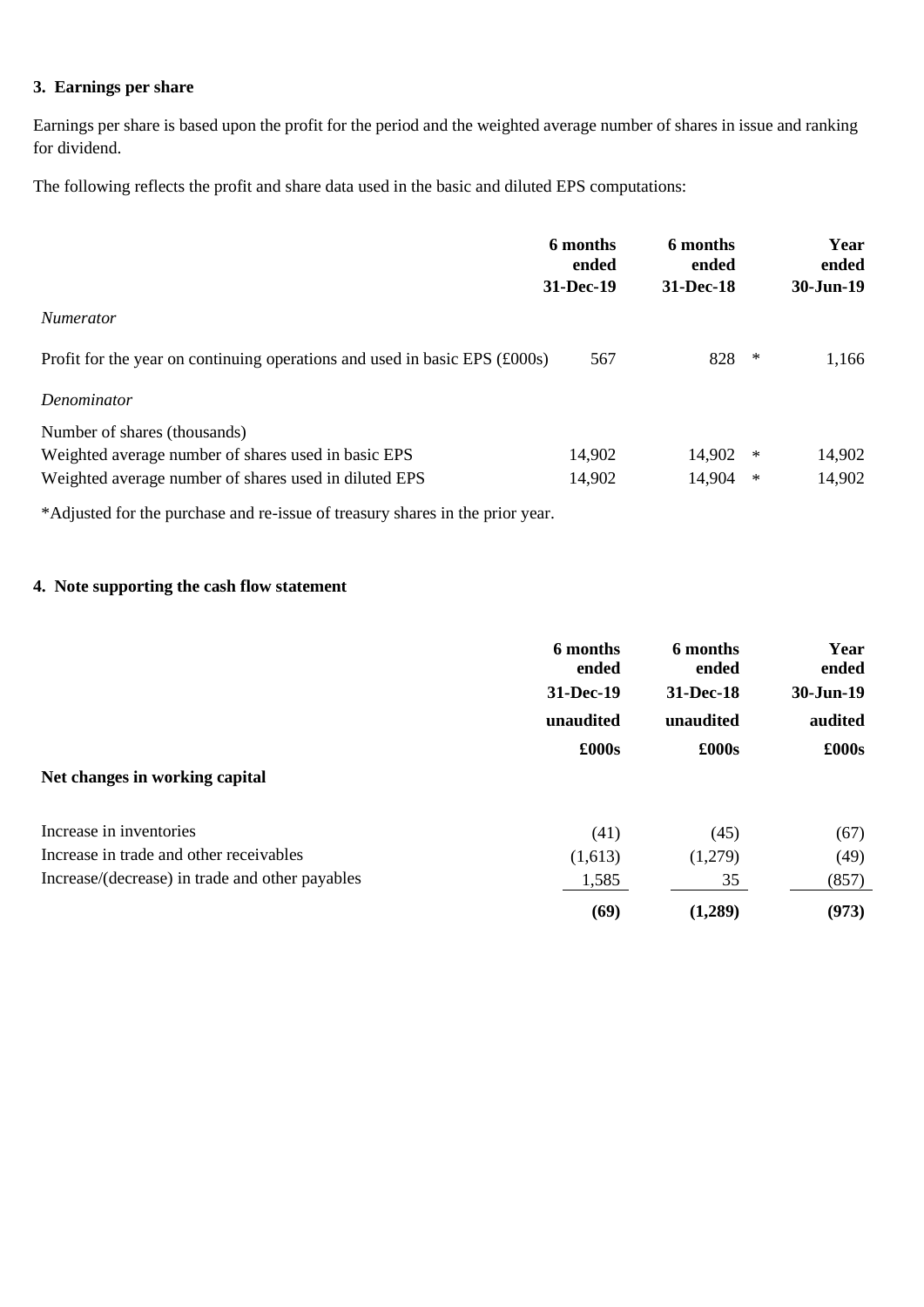# **3. Earnings per share**

Earnings per share is based upon the profit for the period and the weighted average number of shares in issue and ranking for dividend.

The following reflects the profit and share data used in the basic and diluted EPS computations:

|                                                                            | 6 months<br>ended | 6 months<br>ended |        | Year<br>ended |  |
|----------------------------------------------------------------------------|-------------------|-------------------|--------|---------------|--|
|                                                                            | 31-Dec-19         | 31-Dec-18         |        | 30-Jun-19     |  |
| <i>Numerator</i>                                                           |                   |                   |        |               |  |
| Profit for the year on continuing operations and used in basic EPS (£000s) | 567               | 828               | $\ast$ | 1,166         |  |
| Denominator                                                                |                   |                   |        |               |  |
| Number of shares (thousands)                                               |                   |                   |        |               |  |
| Weighted average number of shares used in basic EPS                        | 14,902            | 14,902            | $\ast$ | 14,902        |  |
| Weighted average number of shares used in diluted EPS                      | 14,902            | 14,904            | $\ast$ | 14,902        |  |

\*Adjusted for the purchase and re-issue of treasury shares in the prior year.

# **4. Note supporting the cash flow statement**

|                                                 | 6 months<br>ended | 6 months<br>ended | Year<br>ended |  |
|-------------------------------------------------|-------------------|-------------------|---------------|--|
|                                                 | 31-Dec-19         | 31-Dec-18         | 30-Jun-19     |  |
|                                                 | unaudited         | unaudited         | audited       |  |
|                                                 | £000s             | £000s             | £000s         |  |
| Net changes in working capital                  |                   |                   |               |  |
| Increase in inventories                         | (41)              | (45)              | (67)          |  |
| Increase in trade and other receivables         | (1,613)           | (1,279)           | (49)          |  |
| Increase/(decrease) in trade and other payables | 1,585             | 35                | (857)         |  |
|                                                 | (69)              | (1,289)           | (973)         |  |